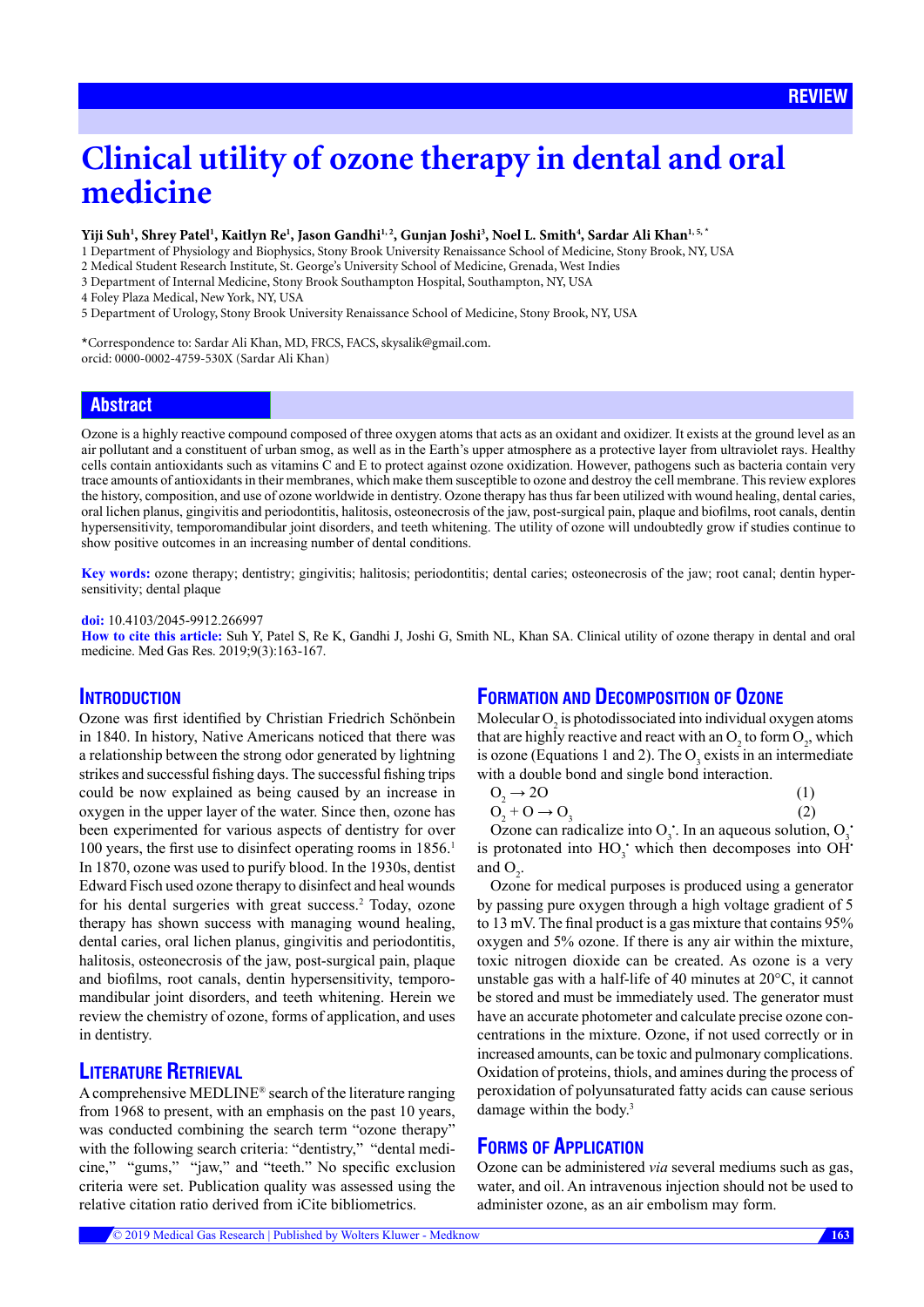# **Clinical utility of ozone therapy in dental and oral medicine**

**Yiji Suh1 , Shrey Patel1 , Kaitlyn Re1 , Jason Gandhi1, 2, Gunjan Joshi3 , Noel L. Smith4 , Sardar Ali Khan1, 5,** \*

1 Department of Physiology and Biophysics, Stony Brook University Renaissance School of Medicine, Stony Brook, NY, USA

2 Medical Student Research Institute, St. George's University School of Medicine, Grenada, West Indies

3 Department of Internal Medicine, Stony Brook Southampton Hospital, Southampton, NY, USA

4 Foley Plaza Medical, New York, NY, USA

5 Department of Urology, Stony Brook University Renaissance School of Medicine, Stony Brook, NY, USA

\*Correspondence to: Sardar Ali Khan, MD, FRCS, FACS, skysalik@gmail.com. orcid: [0000-0002-4759-530X](http://orcid.org/0000-0002-4759-530X) (Sardar Ali Khan)

## **Abstract**

Ozone is a highly reactive compound composed of three oxygen atoms that acts as an oxidant and oxidizer. It exists at the ground level as an air pollutant and a constituent of urban smog, as well as in the Earth's upper atmosphere as a protective layer from ultraviolet rays. Healthy cells contain antioxidants such as vitamins C and E to protect against ozone oxidization. However, pathogens such as bacteria contain very trace amounts of antioxidants in their membranes, which make them susceptible to ozone and destroy the cell membrane. This review explores the history, composition, and use of ozone worldwide in dentistry. Ozone therapy has thus far been utilized with wound healing, dental caries, oral lichen planus, gingivitis and periodontitis, halitosis, osteonecrosis of the jaw, post-surgical pain, plaque and biofilms, root canals, dentin hypersensitivity, temporomandibular joint disorders, and teeth whitening. The utility of ozone will undoubtedly grow if studies continue to show positive outcomes in an increasing number of dental conditions.

**Key words:** ozone therapy; dentistry; gingivitis; halitosis; periodontitis; dental caries; osteonecrosis of the jaw; root canal; dentin hypersensitivity; dental plaque

#### **doi:** 10.4103/2045-9912.266997

**How to cite this article:** Suh Y, Patel S, Re K, Gandhi J, Joshi G, Smith NL, Khan SA. Clinical utility of ozone therapy in dental and oral medicine. Med Gas Res. 2019;9(3):163-167.

## **INTRODUCTION**

Ozone was first identified by Christian Friedrich Schönbein in 1840. In history, Native Americans noticed that there was a relationship between the strong odor generated by lightning strikes and successful fishing days. The successful fishing trips could be now explained as being caused by an increase in oxygen in the upper layer of the water. Since then, ozone has been experimented for various aspects of dentistry for over 100 years, the first use to disinfect operating rooms in 1856.<sup>1</sup> In 1870, ozone was used to purify blood. In the 1930s, dentist Edward Fisch used [ozone therapy](https://www.austinozone.com) to disinfect and heal wounds for his dental surgeries with great success.<sup>2</sup> Today, ozone therapy has shown success with managing wound healing, dental caries, oral lichen planus, gingivitis and periodontitis, halitosis, osteonecrosis of the jaw, post-surgical pain, plaque and biofilms, root canals, dentin hypersensitivity, temporomandibular joint disorders, and teeth whitening. Herein we review the chemistry of ozone, forms of application, and uses in dentistry.

## **LITERATURE RETRIEVAL**

A comprehensive MEDLINE® search of the literature ranging from 1968 to present, with an emphasis on the past 10 years, was conducted combining the search term "ozone therapy" with the following search criteria: "dentistry," "dental medicine," "gums," "jaw," and "teeth." No specific exclusion criteria were set. Publication quality was assessed using the relative citation ratio derived from iCite bibliometrics.

# **FORMATION AND DECOMPOSITION OF OZONE**

Molecular  $O_2$  is photodissociated into individual oxygen atoms that are highly reactive and react with an  $O_2$  to form  $O_2$ , which is ozone (Equations 1 and 2). The  $O_3$  exists in an intermediate with a double bond and single bond interaction.

| $O_2 \rightarrow 2O$      | (1) |
|---------------------------|-----|
| $O_2 + O \rightarrow O_3$ | (2) |

Ozone can radicalize into  $O_3$ . In an aqueous solution,  $O_3$ is protonated into  $HO_3$  which then decomposes into OH and  $O_2$ .

Ozone for medical purposes is produced using a generator by passing pure oxygen through a high voltage gradient of 5 to 13 mV. The final product is a gas mixture that contains 95% oxygen and 5% ozone. If there is any air within the mixture, toxic nitrogen dioxide can be created. As ozone is a very unstable gas with a half-life of 40 minutes at 20°C, it cannot be stored and must be immediately used. The generator must have an accurate photometer and calculate precise ozone concentrations in the mixture. Ozone, if not used correctly or in increased amounts, can be toxic and pulmonary complications. Oxidation of proteins, thiols, and amines during the process of peroxidation of polyunsaturated fatty acids can cause serious damage within the body.<sup>3</sup>

# **FORMS OF APPLICATION**

Ozone can be administered *via* several mediums such as gas, water, and oil. An intravenous injection should not be used to administer ozone, as an air embolism may form.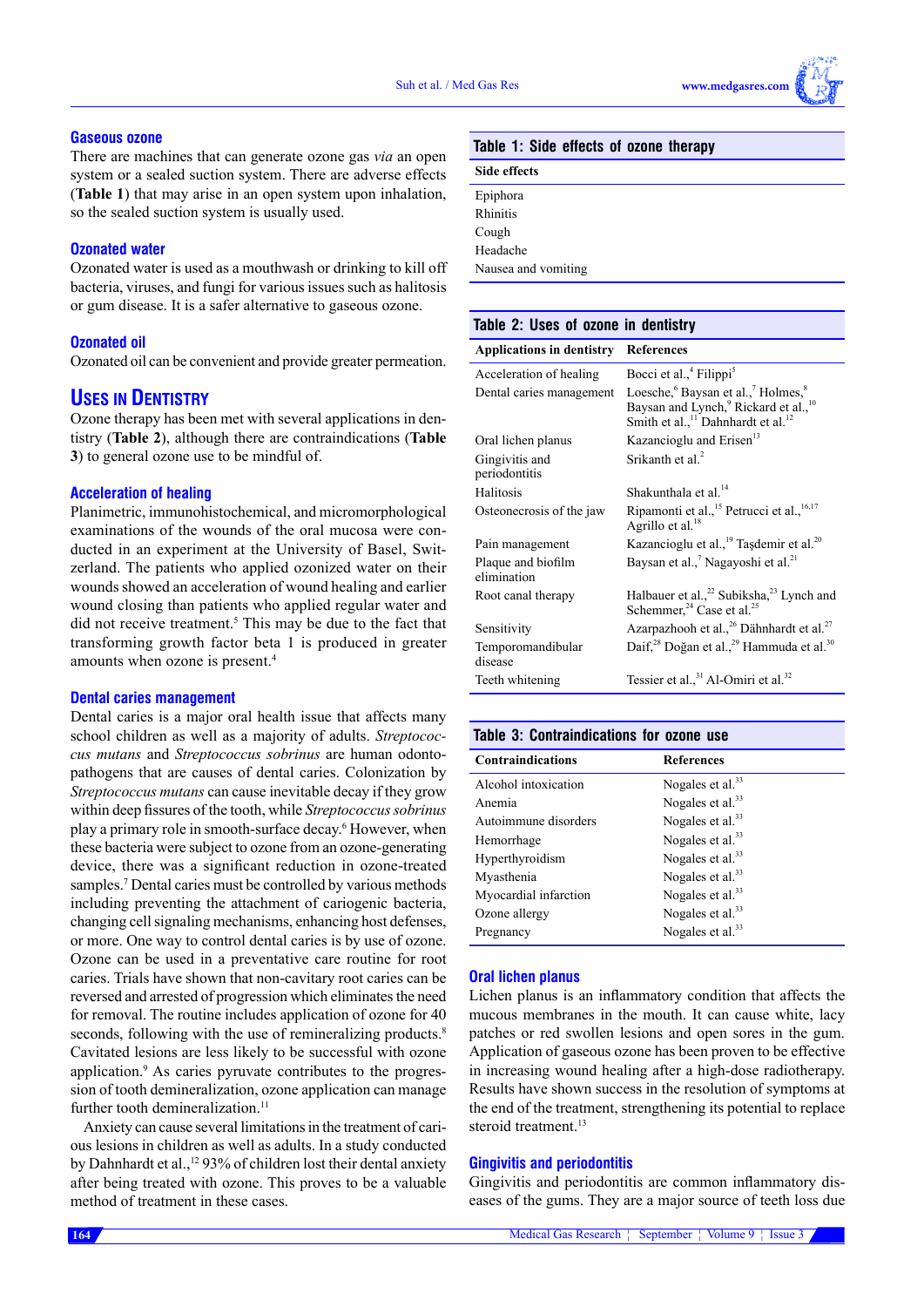**www.medgasres.com**

#### **Gaseous ozone**

There are machines that can generate ozone gas *via* an open system or a sealed suction system. There are adverse effects (**Table 1**) that may arise in an open system upon inhalation, so the sealed suction system is usually used.

## **Ozonated water**

Ozonated water is used as a mouthwash or drinking to kill off bacteria, viruses, and fungi for various issues such as halitosis or gum disease. It is a safer alternative to gaseous ozone.

#### **Ozonated oil**

Ozonated oil can be convenient and provide greater permeation.

# **USES IN DENTISTRY**

Ozone therapy has been met with several applications in dentistry (**Table 2**), although there are contraindications (**Table 3**) to general ozone use to be mindful of.

## **Acceleration of healing**

Planimetric, immunohistochemical, and micromorphological examinations of the wounds of the oral mucosa were conducted in an experiment at the University of Basel, Switzerland. The patients who applied ozonized water on their wounds showed an acceleration of wound healing and earlier wound closing than patients who applied regular water and did not receive treatment.<sup>5</sup> This may be due to the fact that transforming growth factor beta 1 is produced in greater amounts when ozone is present.4

#### **Dental caries management**

Dental caries is a major oral health issue that affects many school children as well as a majority of adults. *Streptococcus mutans* and *Streptococcus sobrinus* are human odontopathogens that are causes of dental caries. Colonization by *Streptococcus mutans* can cause inevitable decay if they grow within deep fissures of the tooth, while *Streptococcus sobrinus*  play a primary role in smooth-surface decay.<sup>6</sup> However, when these bacteria were subject to ozone from an ozone-generating device, there was a significant reduction in ozone-treated samples.<sup>7</sup> Dental caries must be controlled by various methods including preventing the attachment of cariogenic bacteria, changing cell signaling mechanisms, enhancing host defenses, or more. One way to control dental caries is by use of ozone. Ozone can be used in a preventative care routine for root caries. Trials have shown that non-cavitary root caries can be reversed and arrested of progression which eliminates the need for removal. The routine includes application of ozone for 40 seconds, following with the use of remineralizing products.<sup>8</sup> Cavitated lesions are less likely to be successful with ozone application.<sup>9</sup> As caries pyruvate contributes to the progression of tooth demineralization, ozone application can manage further tooth demineralization.<sup>11</sup>

Anxiety can cause several limitations in the treatment of carious lesions in children as well as adults. In a study conducted by Dahnhardt et al.,<sup>12</sup> 93% of children lost their dental anxiety after being treated with ozone. This proves to be a valuable method of treatment in these cases.

# **Table 1: Side effects of ozone therapy**

| Side effects        |
|---------------------|
| Epiphora            |
| Rhinitis            |
| Cough               |
| Headache            |
| Nausea and vomiting |

# **Table 2: Uses of ozone in dentistry**

| <b>Applications in dentistry</b>  | References                                                                                                                                                                                           |
|-----------------------------------|------------------------------------------------------------------------------------------------------------------------------------------------------------------------------------------------------|
| Acceleration of healing           | Bocci et al., <sup>4</sup> Filippi <sup>5</sup>                                                                                                                                                      |
| Dental caries management          | Loesche, <sup>6</sup> Baysan et al., <sup>7</sup> Holmes, <sup>8</sup><br>Baysan and Lynch, <sup>9</sup> Rickard et al., <sup>10</sup><br>Smith et al., <sup>11</sup> Dahnhardt et al. <sup>12</sup> |
| Oral lichen planus                | Kazancioglu and Erisen <sup>13</sup>                                                                                                                                                                 |
| Gingivitis and<br>periodontitis   | Srikanth et al. <sup>2</sup>                                                                                                                                                                         |
| Halitosis                         | Shakunthala et al. <sup>14</sup>                                                                                                                                                                     |
| Osteonecrosis of the jaw          | Ripamonti et al., <sup>15</sup> Petrucci et al., <sup>16,17</sup><br>Agrillo et al. <sup>18</sup>                                                                                                    |
| Pain management                   | Kazancioglu et al., <sup>19</sup> Taşdemir et al. <sup>20</sup>                                                                                                                                      |
| Plaque and biofilm<br>elimination | Baysan et al., <sup>7</sup> Nagayoshi et al. <sup>21</sup>                                                                                                                                           |
| Root canal therapy                | Halbauer et al., <sup>22</sup> Subiksha, <sup>23</sup> Lynch and<br>Schemmer, <sup>24</sup> Case et al. <sup>25</sup>                                                                                |
| Sensitivity                       | Azarpazhooh et al., <sup>26</sup> Dähnhardt et al. <sup>27</sup>                                                                                                                                     |
| Temporomandibular<br>disease      | Daif, <sup>28</sup> Doğan et al., <sup>29</sup> Hammuda et al. <sup>30</sup>                                                                                                                         |
| Teeth whitening                   | Tessier et al., <sup>31</sup> Al-Omiri et al. <sup>32</sup>                                                                                                                                          |

## **Table 3: Contraindications for ozone use**

| <b>Contraindications</b> | <b>References</b>            |  |
|--------------------------|------------------------------|--|
| Alcohol intoxication     | Nogales et al. <sup>33</sup> |  |
| Anemia                   | Nogales et al. $33$          |  |
| Autoimmune disorders     | Nogales et al. $33$          |  |
| Hemorrhage               | Nogales et al. $33$          |  |
| Hyperthyroidism          | Nogales et al. <sup>33</sup> |  |
| Myasthenia               | Nogales et al. $33$          |  |
| Myocardial infarction    | Nogales et al. $33$          |  |
| Ozone allergy            | Nogales et al. $33$          |  |
| Pregnancy                | Nogales et al. $33$          |  |
|                          |                              |  |

## **Oral lichen planus**

Lichen planus is an inflammatory condition that affects the mucous membranes in the mouth. It can cause white, lacy patches or red swollen lesions and open sores in the gum. Application of gaseous ozone has been proven to be effective in increasing wound healing after a high-dose radiotherapy. Results have shown success in the resolution of symptoms at the end of the treatment, strengthening its potential to replace steroid treatment.<sup>13</sup>

## **Gingivitis and periodontitis**

Gingivitis and periodontitis are common inflammatory diseases of the gums. They are a major source of teeth loss due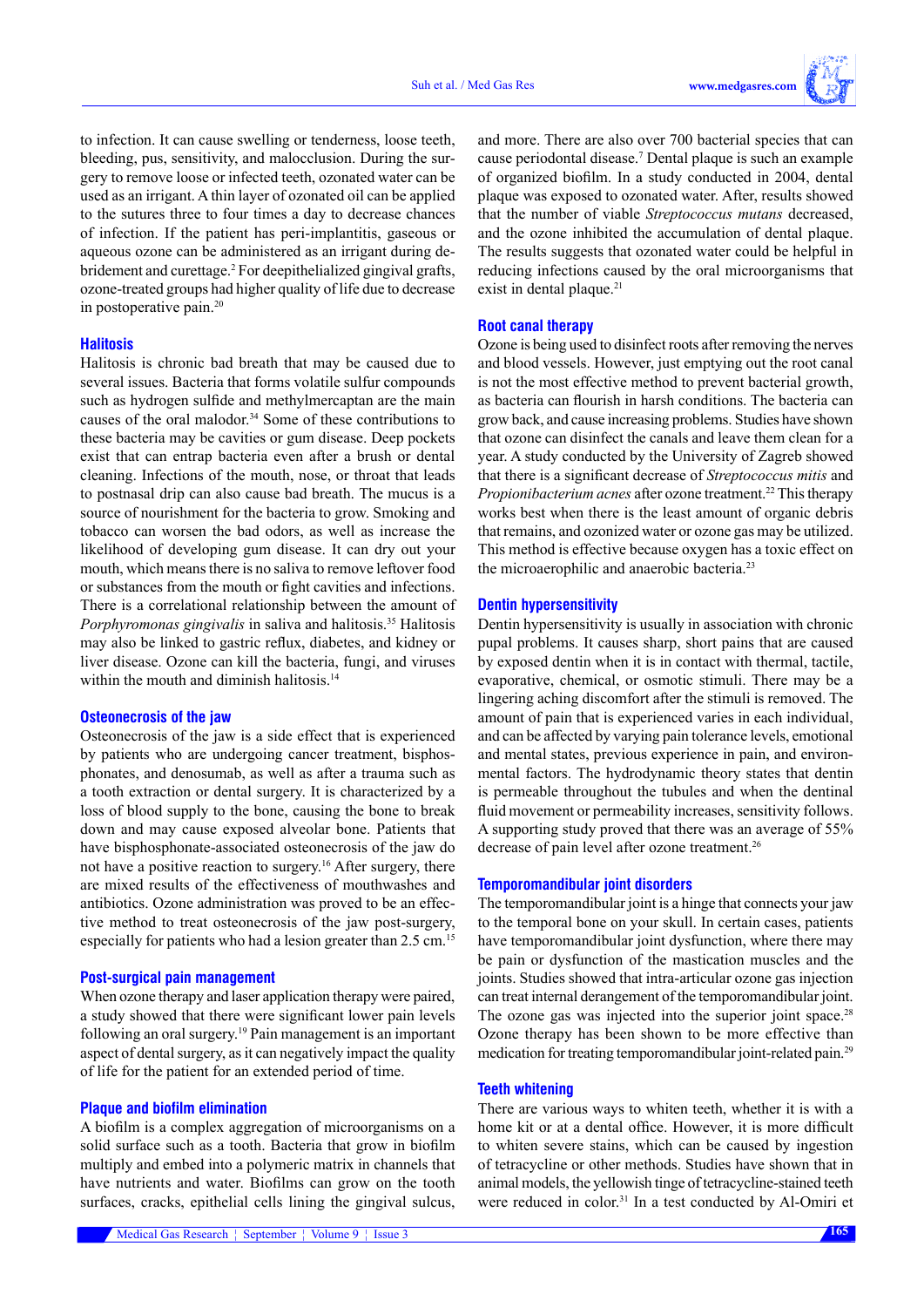to infection. It can cause swelling or tenderness, loose teeth, bleeding, pus, sensitivity, and malocclusion. During the surgery to remove loose or infected teeth, ozonated water can be used as an irrigant. A thin layer of ozonated oil can be applied to the sutures three to four times a day to decrease chances of infection. If the patient has peri-implantitis, gaseous or aqueous ozone can be administered as an irrigant during debridement and curettage.<sup>2</sup> For deepithelialized gingival grafts, ozone-treated groups had higher quality of life due to decrease in postoperative pain.<sup>20</sup>

#### **Halitosis**

Halitosis is chronic bad breath that may be caused due to several issues. Bacteria that forms volatile sulfur compounds such as hydrogen sulfide and methylmercaptan are the main causes of the oral malodor.<sup>34</sup> Some of these contributions to these bacteria may be cavities or gum disease. Deep pockets exist that can entrap bacteria even after a brush or dental cleaning. Infections of the mouth, nose, or throat that leads to postnasal drip can also cause bad breath. The mucus is a source of nourishment for the bacteria to grow. Smoking and tobacco can worsen the bad odors, as well as increase the likelihood of developing gum disease. It can dry out your mouth, which means there is no saliva to remove leftover food or substances from the mouth or fight cavities and infections. There is a correlational relationship between the amount of Porphyromonas gingivalis in saliva and halitosis.<sup>35</sup> Halitosis may also be linked to gastric reflux, diabetes, and kidney or liver disease. Ozone can kill the bacteria, fungi, and viruses within the mouth and diminish halitosis.<sup>14</sup>

#### **Osteonecrosis of the jaw**

Osteonecrosis of the jaw is a side effect that is experienced by patients who are undergoing cancer treatment, bisphosphonates, and denosumab, as well as after a trauma such as a tooth extraction or dental surgery. It is characterized by a loss of blood supply to the bone, causing the bone to break down and may cause exposed alveolar bone. Patients that have bisphosphonate-associated osteonecrosis of the jaw do not have a positive reaction to surgery.<sup>16</sup> After surgery, there are mixed results of the effectiveness of mouthwashes and antibiotics. Ozone administration was proved to be an effective method to treat osteonecrosis of the jaw post-surgery, especially for patients who had a lesion greater than 2.5 cm.<sup>15</sup>

#### **Post-surgical pain management**

When ozone therapy and laser application therapy were paired, a study showed that there were significant lower pain levels following an oral surgery.<sup>19</sup> Pain management is an important aspect of dental surgery, as it can negatively impact the quality of life for the patient for an extended period of time.

#### **Plaque and biofilm elimination**

A biofilm is a complex aggregation of microorganisms on a solid surface such as a tooth. Bacteria that grow in biofilm multiply and embed into a polymeric matrix in channels that have nutrients and water. Biofilms can grow on the tooth surfaces, cracks, epithelial cells lining the gingival sulcus, and more. There are also over 700 bacterial species that can cause periodontal disease.7 Dental plaque is such an example of organized biofilm. In a study conducted in 2004, dental plaque was exposed to ozonated water. After, results showed that the number of viable *Streptococcus mutans* decreased, and the ozone inhibited the accumulation of dental plaque. The results suggests that ozonated water could be helpful in reducing infections caused by the oral microorganisms that exist in dental plaque.<sup>21</sup>

#### **Root canal therapy**

Ozone is being used to disinfect roots after removing the nerves and blood vessels. However, just emptying out the root canal is not the most effective method to prevent bacterial growth, as bacteria can flourish in harsh conditions. The bacteria can grow back, and cause increasing problems. Studies have shown that ozone can disinfect the canals and leave them clean for a year. A study conducted by the University of Zagreb showed that there is a significant decrease of *Streptococcus mitis* and *Propionibacterium acnes after ozone treatment.<sup>22</sup> This therapy* works best when there is the least amount of organic debris that remains, and ozonized water or ozone gas may be utilized. This method is effective because oxygen has a toxic effect on the microaerophilic and anaerobic bacteria.<sup>23</sup>

#### **Dentin hypersensitivity**

Dentin hypersensitivity is usually in association with chronic pupal problems. It causes sharp, short pains that are caused by exposed dentin when it is in contact with thermal, tactile, evaporative, chemical, or osmotic stimuli. There may be a lingering aching discomfort after the stimuli is removed. The amount of pain that is experienced varies in each individual, and can be affected by varying pain tolerance levels, emotional and mental states, previous experience in pain, and environmental factors. The hydrodynamic theory states that dentin is permeable throughout the tubules and when the dentinal fluid movement or permeability increases, sensitivity follows. A supporting study proved that there was an average of 55% decrease of pain level after ozone treatment.26

#### **Temporomandibular joint disorders**

The temporomandibular joint is a hinge that connects your jaw to the temporal bone on your skull. In certain cases, patients have temporomandibular joint dysfunction, where there may be pain or dysfunction of the mastication muscles and the joints. Studies showed that intra-articular ozone gas injection can treat internal derangement of the temporomandibular joint. The ozone gas was injected into the superior joint space.<sup>28</sup> Ozone therapy has been shown to be more effective than medication for treating temporomandibular joint-related pain.29

#### **Teeth whitening**

There are various ways to whiten teeth, whether it is with a home kit or at a dental office. However, it is more difficult to whiten severe stains, which can be caused by ingestion of tetracycline or other methods. Studies have shown that in animal models, the yellowish tinge of tetracycline-stained teeth were reduced in color.<sup>31</sup> In a test conducted by Al-Omiri et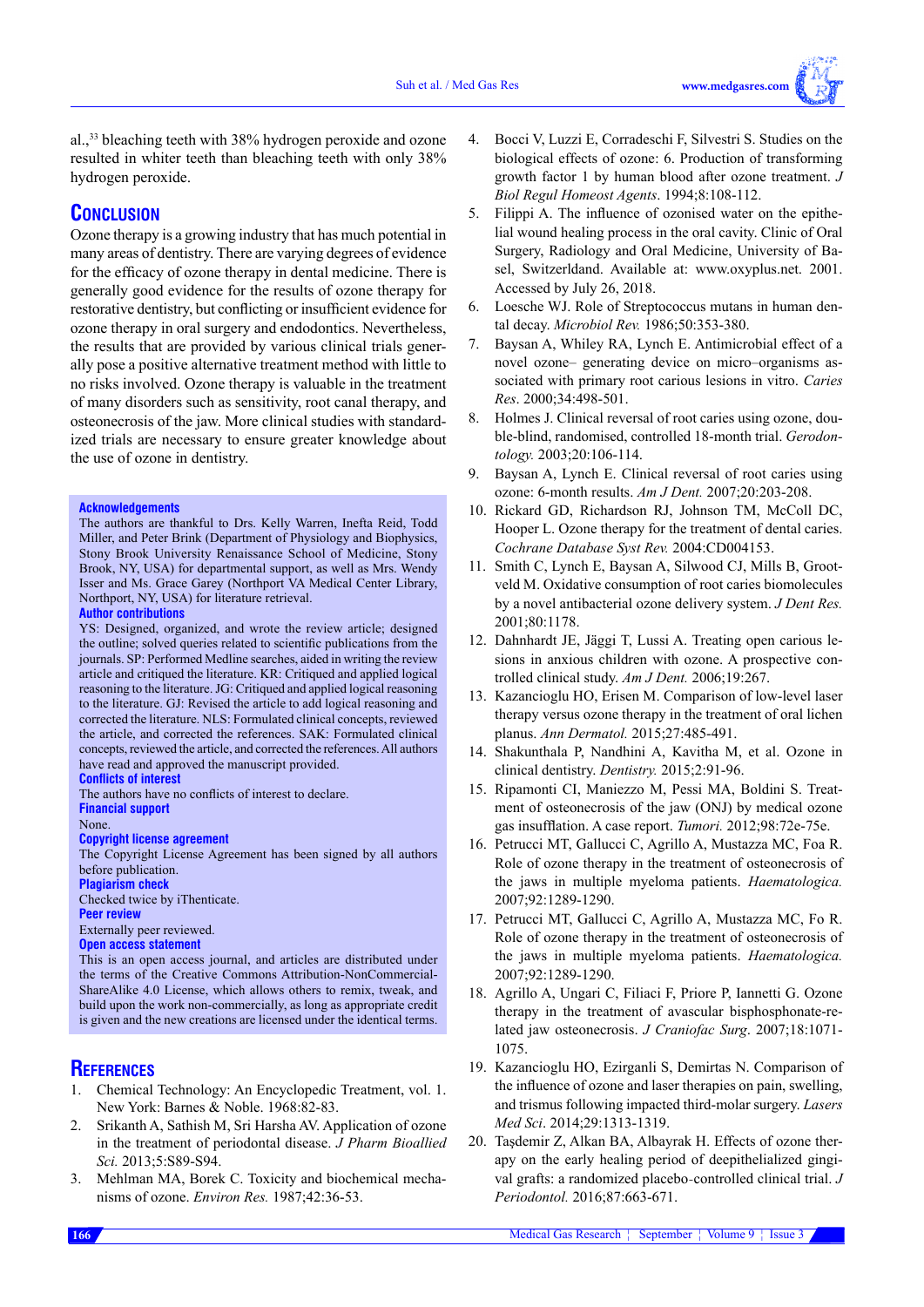al.,33 bleaching teeth with 38% hydrogen peroxide and ozone resulted in whiter teeth than bleaching teeth with only 38% hydrogen peroxide.

# **CONCLUSION**

Ozone therapy is a growing industry that has much potential in many areas of dentistry. There are varying degrees of evidence for the efficacy of ozone therapy in dental medicine. There is generally good evidence for the results of ozone therapy for restorative dentistry, but conflicting or insufficient evidence for ozone therapy in oral surgery and endodontics. Nevertheless, the results that are provided by various clinical trials generally pose a positive alternative treatment method with little to no risks involved. Ozone therapy is valuable in the treatment of many disorders such as sensitivity, root canal therapy, and osteonecrosis of the jaw. More clinical studies with standardized trials are necessary to ensure greater knowledge about the use of ozone in dentistry.

#### **Acknowledgements**

The authors are thankful to Drs. Kelly Warren, Inefta Reid, Todd Miller, and Peter Brink (Department of Physiology and Biophysics, Stony Brook University Renaissance School of Medicine, Stony Brook, NY, USA) for departmental support, as well as Mrs. Wendy Isser and Ms. Grace Garey (Northport VA Medical Center Library, Northport, NY, USA) for literature retrieval.

#### **Author contributions**

YS: Designed, organized, and wrote the review article; designed the outline; solved queries related to scientific publications from the journals. SP: Performed Medline searches, aided in writing the review article and critiqued the literature. KR: Critiqued and applied logical reasoning to the literature. JG: Critiqued and applied logical reasoning to the literature. GJ: Revised the article to add logical reasoning and corrected the literature. NLS: Formulated clinical concepts, reviewed the article, and corrected the references. SAK: Formulated clinical concepts, reviewed the article, and corrected the references. All authors have read and approved the manuscript provided.

# **Conflicts of interest**

The authors have no conflicts of interest to declare. **Financial support**

None.

#### **Copyright license agreement**

The Copyright License Agreement has been signed by all authors before publication.

## **Plagiarism check**

Checked twice by iThenticate.

## **Peer review**

Externally peer reviewed.

## **Open access statement**

This is an open access journal, and articles are distributed under the terms of the Creative Commons Attribution-NonCommercial-ShareAlike 4.0 License, which allows others to remix, tweak, and build upon the work non-commercially, as long as appropriate credit is given and the new creations are licensed under the identical terms.

## **References**

- 1. Chemical Technology: An Encyclopedic Treatment, vol. 1. New York: Barnes & Noble. 1968:82-83.
- 2. Srikanth A, Sathish M, Sri Harsha AV. Application of ozone in the treatment of periodontal disease. *J Pharm Bioallied Sci.* 2013;5:S89-S94.
- 3. Mehlman MA, Borek C. Toxicity and biochemical mechanisms of ozone. *Environ Res.* 1987;42:36-53.
- 4. Bocci V, Luzzi E, Corradeschi F, Silvestri S. Studies on the biological effects of ozone: 6. Production of transforming growth factor 1 by human blood after ozone treatment. *J Biol Regul Homeost Agents*. 1994;8:108-112.
- 5. Filippi A. The influence of ozonised water on the epithelial wound healing process in the oral cavity. Clinic of Oral Surgery, Radiology and Oral Medicine, University of Basel, Switzerldand. Available at: www.oxyplus.net. 2001. Accessed by July 26, 2018.
- 6. Loesche WJ. Role of Streptococcus mutans in human dental decay. *Microbiol Rev.* 1986;50:353-380.
- 7. Baysan A, Whiley RA, Lynch E. Antimicrobial effect of a novel ozone– generating device on micro–organisms associated with primary root carious lesions in vitro. *Caries Res*. 2000;34:498-501.
- 8. Holmes J. Clinical reversal of root caries using ozone, double-blind, randomised, controlled 18-month trial. *Gerodontology.* 2003;20:106-114.
- 9. Baysan A, Lynch E. Clinical reversal of root caries using ozone: 6-month results. *Am J Dent.* 2007;20:203-208.
- 10. Rickard GD, Richardson RJ, Johnson TM, McColl DC, Hooper L. Ozone therapy for the treatment of dental caries. *Cochrane Database Syst Rev.* 2004:CD004153.
- 11. Smith C, Lynch E, Baysan A, Silwood CJ, Mills B, Grootveld M. Oxidative consumption of root caries biomolecules by a novel antibacterial ozone delivery system. *J Dent Res.*  2001;80:1178.
- 12. Dahnhardt JE, Jäggi T, Lussi A. Treating open carious lesions in anxious children with ozone. A prospective controlled clinical study. *Am J Dent.* 2006;19:267.
- 13. Kazancioglu HO, Erisen M. Comparison of low-level laser therapy versus ozone therapy in the treatment of oral lichen planus. *Ann Dermatol.* 2015;27:485-491.
- 14. Shakunthala P, Nandhini A, Kavitha M, et al. Ozone in clinical dentistry. *Dentistry.* 2015;2:91-96.
- 15. Ripamonti CI, Maniezzo M, Pessi MA, Boldini S. Treatment of osteonecrosis of the jaw (ONJ) by medical ozone gas insufflation. A case report. *Tumori.* 2012;98:72e-75e.
- 16. Petrucci MT, Gallucci C, Agrillo A, Mustazza MC, Foa R. Role of ozone therapy in the treatment of osteonecrosis of the jaws in multiple myeloma patients. *Haematologica.* 2007;92:1289-1290.
- 17. Petrucci MT, Gallucci C, Agrillo A, Mustazza MC, Fo R. Role of ozone therapy in the treatment of osteonecrosis of the jaws in multiple myeloma patients. *Haematologica.* 2007;92:1289-1290.
- 18. Agrillo A, Ungari C, Filiaci F, Priore P, Iannetti G. Ozone therapy in the treatment of avascular bisphosphonate-related jaw osteonecrosis. *J Craniofac Surg*. 2007;18:1071- 1075.
- 19. Kazancioglu HO, Ezirganli S, Demirtas N. Comparison of the influence of ozone and laser therapies on pain, swelling, and trismus following impacted third-molar surgery. *Lasers Med Sci*. 2014;29:1313-1319.
- 20. Taşdemir Z, Alkan BA, Albayrak H. Effects of ozone therapy on the early healing period of deepithelialized gingival grafts: a randomized placebo-controlled clinical trial. *J Periodontol.* 2016;87:663-671.